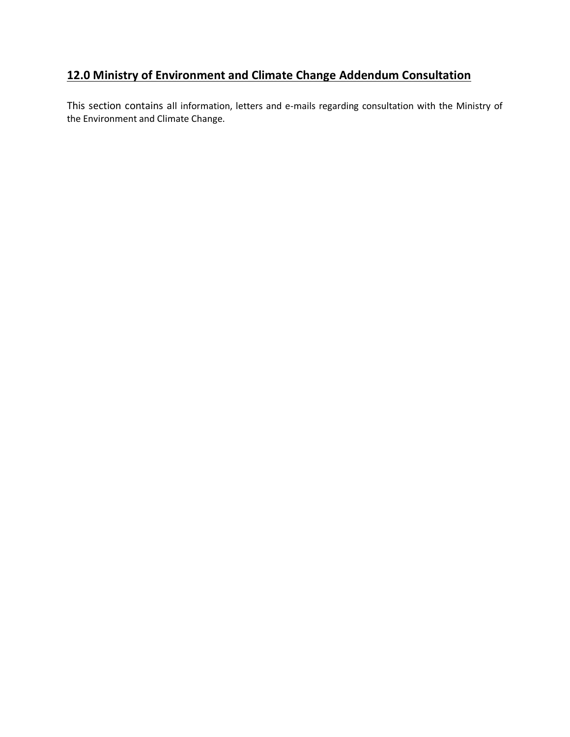# **12.0 Ministry of Environment and Climate Change Addendum Consultation**

This section contains all information, letters and e-mails regarding consultation with the Ministry of the Environment and Climate Change.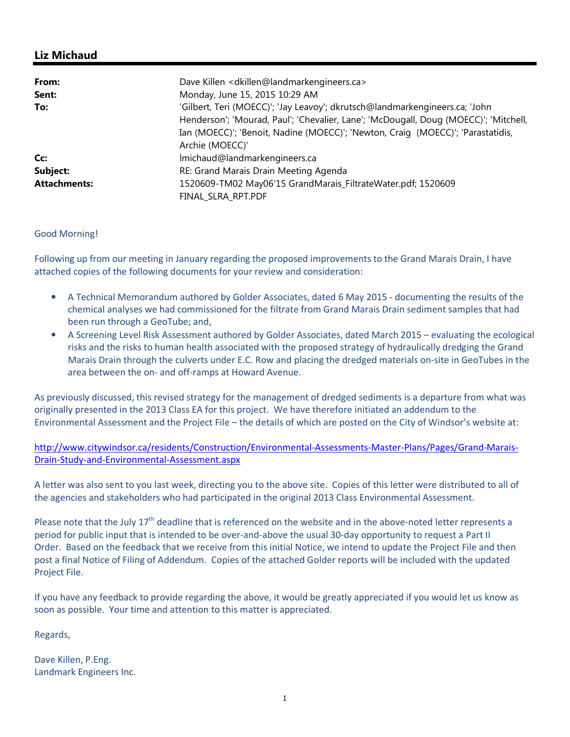| From:               | Dave Killen < dkillen@landmarkengineers.ca>                                          |
|---------------------|--------------------------------------------------------------------------------------|
| Sent:               | Monday, June 15, 2015 10:29 AM                                                       |
| To:                 | 'Gilbert, Teri (MOECC)'; 'Jay Leavoy'; dkrutsch@landmarkengineers.ca; 'John          |
|                     | Henderson'; 'Mourad, Paul'; 'Chevalier, Lane'; 'McDougall, Doug (MOECC)'; 'Mitchell, |
|                     | Ian (MOECC)'; 'Benoit, Nadine (MOECC)'; 'Newton, Craig (MOECC)'; 'Parastatidis,      |
|                     | Archie (MOECC)'                                                                      |
| Cc:                 | Imichaud@landmarkengineers.ca                                                        |
| Subject:            | RE: Grand Marais Drain Meeting Agenda                                                |
| <b>Attachments:</b> | 1520609-TM02 May06'15 GrandMarais_FiltrateWater.pdf; 1520609                         |
|                     | FINAL SLRA RPT.PDF                                                                   |

#### Good Morning!

Following up from our meeting in January regarding the proposed improvements to the Grand Marais Drain, I have attached copies of the following documents for your review and consideration:

- A Technical Memorandum authored by Golder Associates, dated 6 May 2015 documenting the results of the chemical analyses we had commissioned for the filtrate from Grand Marais Drain sediment samples that had been run through a GeoTube; and,
- A Screening Level Risk Assessment authored by Golder Associates, dated March 2015 evaluating the ecological risks and the risks to human health associated with the proposed strategy of hydraulically dredging the Grand Marais Drain through the culverts under E.C. Row and placing the dredged materials on-site in GeoTubes in the area between the on- and off-ramps at Howard Avenue.

As previously discussed, this revised strategy for the management of dredged sediments is a departure from what was originally presented in the 2013 Class EA for this project. We have therefore initiated an addendum to the Environmental Assessment and the Project File – the details of which are posted on the City of Windsor's website at:

http://www.citywindsor.ca/residents/Construction/Environmental-Assessments-Master-Plans/Pages/Grand-Marais-Drain-Study-and-Environmental-Assessment.aspx

A letter was also sent to you last week, directing you to the above site. Copies of this letter were distributed to all of the agencies and stakeholders who had participated in the original 2013 Class Environmental Assessment.

Please note that the July  $17<sup>th</sup>$  deadline that is referenced on the website and in the above-noted letter represents a period for public input that is intended to be over-and-above the usual 30-day opportunity to request a Part II Order. Based on the feedback that we receive from this initial Notice, we intend to update the Project File and then post a final Notice of Filing of Addendum. Copies of the attached Golder reports will be included with the updated Project File.

If you have any feedback to provide regarding the above, it would be greatly appreciated if you would let us know as soon as possible. Your time and attention to this matter is appreciated.

Regards,

Dave Killen, P.Eng. Landmark Engineers Inc.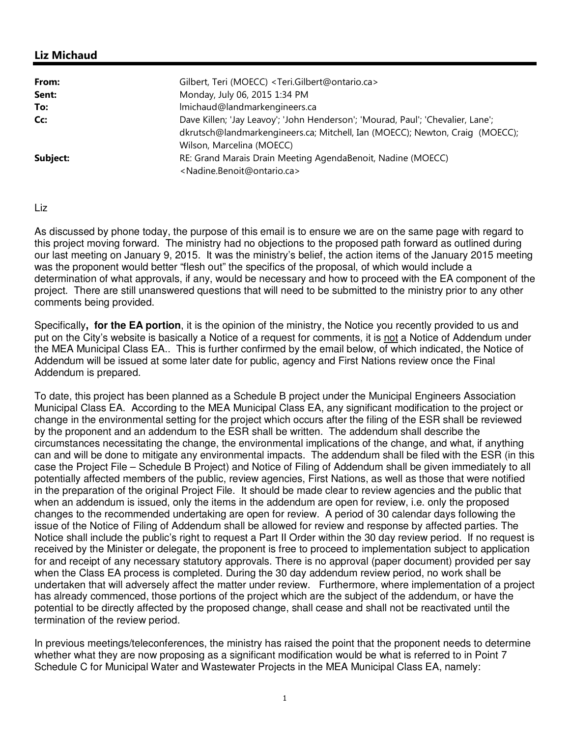| From:    | Gilbert, Teri (MOECC) <teri.gilbert@ontario.ca></teri.gilbert@ontario.ca>                                            |
|----------|----------------------------------------------------------------------------------------------------------------------|
| Sent:    | Monday, July 06, 2015 1:34 PM                                                                                        |
| To:      | Imichaud@landmarkengineers.ca                                                                                        |
| Cc:      | Dave Killen; 'Jay Leavoy'; 'John Henderson'; 'Mourad, Paul'; 'Chevalier, Lane';                                      |
|          | dkrutsch@landmarkengineers.ca; Mitchell, Ian (MOECC); Newton, Craig (MOECC);<br>Wilson, Marcelina (MOECC)            |
| Subject: | RE: Grand Marais Drain Meeting AgendaBenoit, Nadine (MOECC)<br><nadine.benoit@ontario.ca></nadine.benoit@ontario.ca> |

Liz

As discussed by phone today, the purpose of this email is to ensure we are on the same page with regard to this project moving forward. The ministry had no objections to the proposed path forward as outlined during our last meeting on January 9, 2015. It was the ministry's belief, the action items of the January 2015 meeting was the proponent would better "flesh out" the specifics of the proposal, of which would include a determination of what approvals, if any, would be necessary and how to proceed with the EA component of the project. There are still unanswered questions that will need to be submitted to the ministry prior to any other comments being provided.

Specifically**, for the EA portion**, it is the opinion of the ministry, the Notice you recently provided to us and put on the City's website is basically a Notice of a request for comments, it is not a Notice of Addendum under the MEA Municipal Class EA.. This is further confirmed by the email below, of which indicated, the Notice of Addendum will be issued at some later date for public, agency and First Nations review once the Final Addendum is prepared.

To date, this project has been planned as a Schedule B project under the Municipal Engineers Association Municipal Class EA. According to the MEA Municipal Class EA, any significant modification to the project or change in the environmental setting for the project which occurs after the filing of the ESR shall be reviewed by the proponent and an addendum to the ESR shall be written. The addendum shall describe the circumstances necessitating the change, the environmental implications of the change, and what, if anything can and will be done to mitigate any environmental impacts. The addendum shall be filed with the ESR (in this case the Project File – Schedule B Project) and Notice of Filing of Addendum shall be given immediately to all potentially affected members of the public, review agencies, First Nations, as well as those that were notified in the preparation of the original Project File. It should be made clear to review agencies and the public that when an addendum is issued, only the items in the addendum are open for review, i.e. only the proposed changes to the recommended undertaking are open for review. A period of 30 calendar days following the issue of the Notice of Filing of Addendum shall be allowed for review and response by affected parties. The Notice shall include the public's right to request a Part II Order within the 30 day review period. If no request is received by the Minister or delegate, the proponent is free to proceed to implementation subject to application for and receipt of any necessary statutory approvals. There is no approval (paper document) provided per say when the Class EA process is completed. During the 30 day addendum review period, no work shall be undertaken that will adversely affect the matter under review. Furthermore, where implementation of a project has already commenced, those portions of the project which are the subject of the addendum, or have the potential to be directly affected by the proposed change, shall cease and shall not be reactivated until the termination of the review period.

In previous meetings/teleconferences, the ministry has raised the point that the proponent needs to determine whether what they are now proposing as a significant modification would be what is referred to in Point 7 Schedule C for Municipal Water and Wastewater Projects in the MEA Municipal Class EA, namely: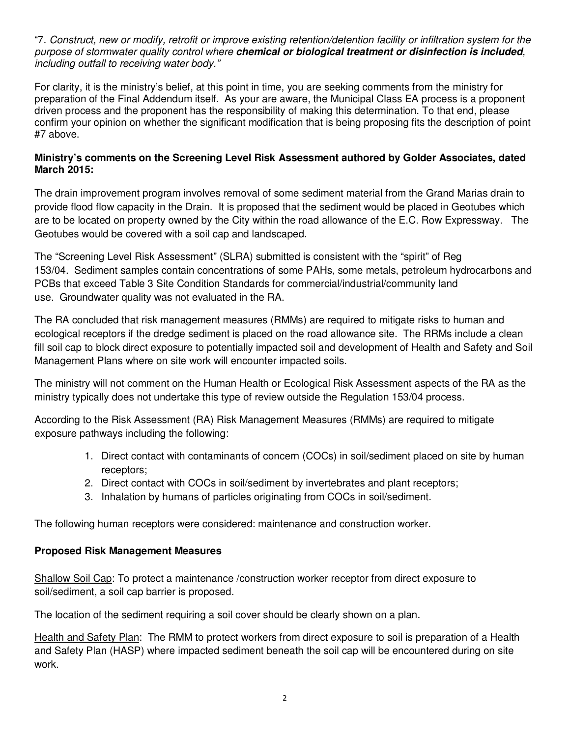"7. Construct, new or modify, retrofit or improve existing retention/detention facility or infiltration system for the purpose of stormwater quality control where **chemical or biological treatment or disinfection is included**, including outfall to receiving water body."

For clarity, it is the ministry's belief, at this point in time, you are seeking comments from the ministry for preparation of the Final Addendum itself. As your are aware, the Municipal Class EA process is a proponent driven process and the proponent has the responsibility of making this determination. To that end, please confirm your opinion on whether the significant modification that is being proposing fits the description of point #7 above.

## **Ministry's comments on the Screening Level Risk Assessment authored by Golder Associates, dated March 2015:**

The drain improvement program involves removal of some sediment material from the Grand Marias drain to provide flood flow capacity in the Drain. It is proposed that the sediment would be placed in Geotubes which are to be located on property owned by the City within the road allowance of the E.C. Row Expressway. The Geotubes would be covered with a soil cap and landscaped.

The "Screening Level Risk Assessment" (SLRA) submitted is consistent with the "spirit" of Reg 153/04. Sediment samples contain concentrations of some PAHs, some metals, petroleum hydrocarbons and PCBs that exceed Table 3 Site Condition Standards for commercial/industrial/community land use. Groundwater quality was not evaluated in the RA.

The RA concluded that risk management measures (RMMs) are required to mitigate risks to human and ecological receptors if the dredge sediment is placed on the road allowance site. The RRMs include a clean fill soil cap to block direct exposure to potentially impacted soil and development of Health and Safety and Soil Management Plans where on site work will encounter impacted soils.

The ministry will not comment on the Human Health or Ecological Risk Assessment aspects of the RA as the ministry typically does not undertake this type of review outside the Regulation 153/04 process.

According to the Risk Assessment (RA) Risk Management Measures (RMMs) are required to mitigate exposure pathways including the following:

- 1. Direct contact with contaminants of concern (COCs) in soil/sediment placed on site by human receptors;
- 2. Direct contact with COCs in soil/sediment by invertebrates and plant receptors;
- 3. Inhalation by humans of particles originating from COCs in soil/sediment.

The following human receptors were considered: maintenance and construction worker.

#### **Proposed Risk Management Measures**

Shallow Soil Cap: To protect a maintenance /construction worker receptor from direct exposure to soil/sediment, a soil cap barrier is proposed.

The location of the sediment requiring a soil cover should be clearly shown on a plan.

Health and Safety Plan: The RMM to protect workers from direct exposure to soil is preparation of a Health and Safety Plan (HASP) where impacted sediment beneath the soil cap will be encountered during on site work.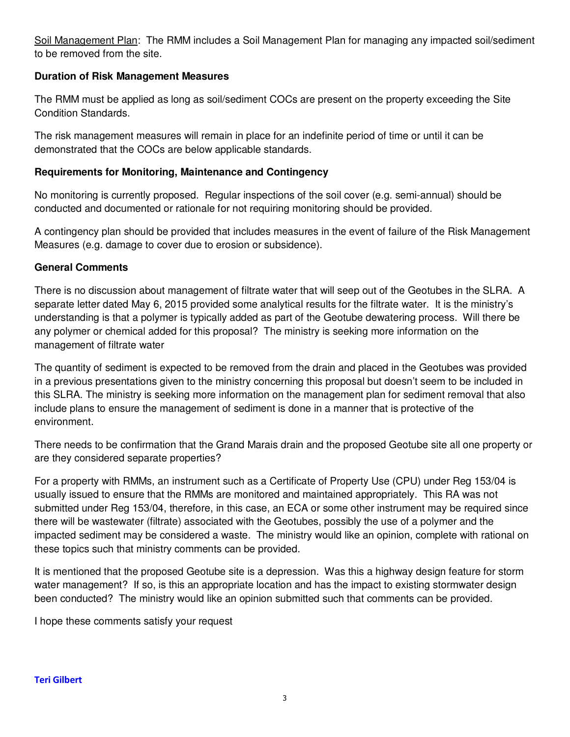Soil Management Plan: The RMM includes a Soil Management Plan for managing any impacted soil/sediment to be removed from the site.

## **Duration of Risk Management Measures**

The RMM must be applied as long as soil/sediment COCs are present on the property exceeding the Site Condition Standards.

The risk management measures will remain in place for an indefinite period of time or until it can be demonstrated that the COCs are below applicable standards.

#### **Requirements for Monitoring, Maintenance and Contingency**

No monitoring is currently proposed. Regular inspections of the soil cover (e.g. semi-annual) should be conducted and documented or rationale for not requiring monitoring should be provided.

A contingency plan should be provided that includes measures in the event of failure of the Risk Management Measures (e.g. damage to cover due to erosion or subsidence).

## **General Comments**

There is no discussion about management of filtrate water that will seep out of the Geotubes in the SLRA. A separate letter dated May 6, 2015 provided some analytical results for the filtrate water. It is the ministry's understanding is that a polymer is typically added as part of the Geotube dewatering process. Will there be any polymer or chemical added for this proposal? The ministry is seeking more information on the management of filtrate water

The quantity of sediment is expected to be removed from the drain and placed in the Geotubes was provided in a previous presentations given to the ministry concerning this proposal but doesn't seem to be included in this SLRA. The ministry is seeking more information on the management plan for sediment removal that also include plans to ensure the management of sediment is done in a manner that is protective of the environment.

There needs to be confirmation that the Grand Marais drain and the proposed Geotube site all one property or are they considered separate properties?

For a property with RMMs, an instrument such as a Certificate of Property Use (CPU) under Reg 153/04 is usually issued to ensure that the RMMs are monitored and maintained appropriately. This RA was not submitted under Reg 153/04, therefore, in this case, an ECA or some other instrument may be required since there will be wastewater (filtrate) associated with the Geotubes, possibly the use of a polymer and the impacted sediment may be considered a waste. The ministry would like an opinion, complete with rational on these topics such that ministry comments can be provided.

It is mentioned that the proposed Geotube site is a depression. Was this a highway design feature for storm water management? If so, is this an appropriate location and has the impact to existing stormwater design been conducted? The ministry would like an opinion submitted such that comments can be provided.

I hope these comments satisfy your request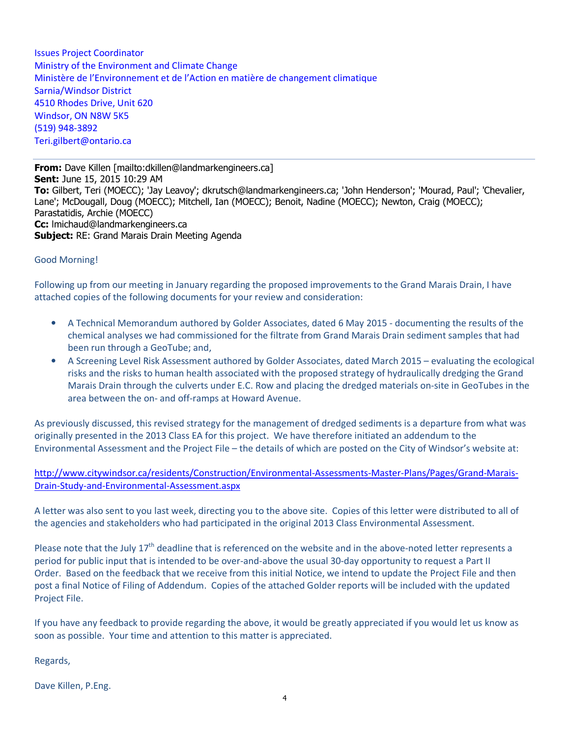Issues Project Coordinator Ministry of the Environment and Climate Change Ministère de l'Environnement et de l'Action en matière de changement climatique Sarnia/Windsor District 4510 Rhodes Drive, Unit 620 Windsor, ON N8W 5K5 (519) 948-3892 Teri.gilbert@ontario.ca

**From:** Dave Killen [mailto:dkillen@landmarkengineers.ca] **Sent:** June 15, 2015 10:29 AM **To:** Gilbert, Teri (MOECC); 'Jay Leavoy'; dkrutsch@landmarkengineers.ca; 'John Henderson'; 'Mourad, Paul'; 'Chevalier, Lane'; McDougall, Doug (MOECC); Mitchell, Ian (MOECC); Benoit, Nadine (MOECC); Newton, Craig (MOECC); Parastatidis, Archie (MOECC) **Cc:** lmichaud@landmarkengineers.ca **Subject:** RE: Grand Marais Drain Meeting Agenda

#### Good Morning!

Following up from our meeting in January regarding the proposed improvements to the Grand Marais Drain, I have attached copies of the following documents for your review and consideration:

- A Technical Memorandum authored by Golder Associates, dated 6 May 2015 documenting the results of the chemical analyses we had commissioned for the filtrate from Grand Marais Drain sediment samples that had been run through a GeoTube; and,
- A Screening Level Risk Assessment authored by Golder Associates, dated March 2015 evaluating the ecological risks and the risks to human health associated with the proposed strategy of hydraulically dredging the Grand Marais Drain through the culverts under E.C. Row and placing the dredged materials on-site in GeoTubes in the area between the on- and off-ramps at Howard Avenue.

As previously discussed, this revised strategy for the management of dredged sediments is a departure from what was originally presented in the 2013 Class EA for this project. We have therefore initiated an addendum to the Environmental Assessment and the Project File – the details of which are posted on the City of Windsor's website at:

http://www.citywindsor.ca/residents/Construction/Environmental-Assessments-Master-Plans/Pages/Grand-Marais-Drain-Study-and-Environmental-Assessment.aspx

A letter was also sent to you last week, directing you to the above site. Copies of this letter were distributed to all of the agencies and stakeholders who had participated in the original 2013 Class Environmental Assessment.

Please note that the July  $17<sup>th</sup>$  deadline that is referenced on the website and in the above-noted letter represents a period for public input that is intended to be over-and-above the usual 30-day opportunity to request a Part II Order. Based on the feedback that we receive from this initial Notice, we intend to update the Project File and then post a final Notice of Filing of Addendum. Copies of the attached Golder reports will be included with the updated Project File.

If you have any feedback to provide regarding the above, it would be greatly appreciated if you would let us know as soon as possible. Your time and attention to this matter is appreciated.

Regards,

Dave Killen, P.Eng.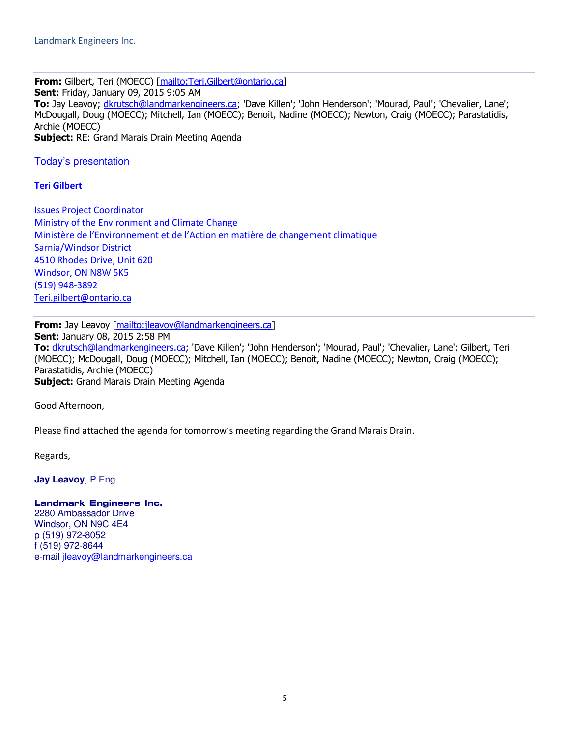**From:** Gilbert, Teri (MOECC) [mailto:Teri.Gilbert@ontario.ca] **Sent:** Friday, January 09, 2015 9:05 AM **To:** Jay Leavoy; dkrutsch@landmarkengineers.ca; 'Dave Killen'; 'John Henderson'; 'Mourad, Paul'; 'Chevalier, Lane'; McDougall, Doug (MOECC); Mitchell, Ian (MOECC); Benoit, Nadine (MOECC); Newton, Craig (MOECC); Parastatidis, Archie (MOECC) **Subject:** RE: Grand Marais Drain Meeting Agenda

Today's presentation

**Teri Gilbert** 

Issues Project Coordinator Ministry of the Environment and Climate Change Ministère de l'Environnement et de l'Action en matière de changement climatique Sarnia/Windsor District 4510 Rhodes Drive, Unit 620 Windsor, ON N8W 5K5 (519) 948-3892 Teri.gilbert@ontario.ca

**From:** Jay Leavoy [mailto:jleavoy@landmarkengineers.ca] **Sent:** January 08, 2015 2:58 PM **To:** dkrutsch@landmarkengineers.ca; 'Dave Killen'; 'John Henderson'; 'Mourad, Paul'; 'Chevalier, Lane'; Gilbert, Teri (MOECC); McDougall, Doug (MOECC); Mitchell, Ian (MOECC); Benoit, Nadine (MOECC); Newton, Craig (MOECC); Parastatidis, Archie (MOECC) **Subject:** Grand Marais Drain Meeting Agenda

Good Afternoon,

Please find attached the agenda for tomorrow's meeting regarding the Grand Marais Drain.

Regards,

**Jay Leavoy**, P.Eng.

**Landmark Engineers Inc.** 2280 Ambassador Drive Windsor, ON N9C 4E4 p (519) 972-8052 f (519) 972-8644 e-mail jleavoy@landmarkengineers.ca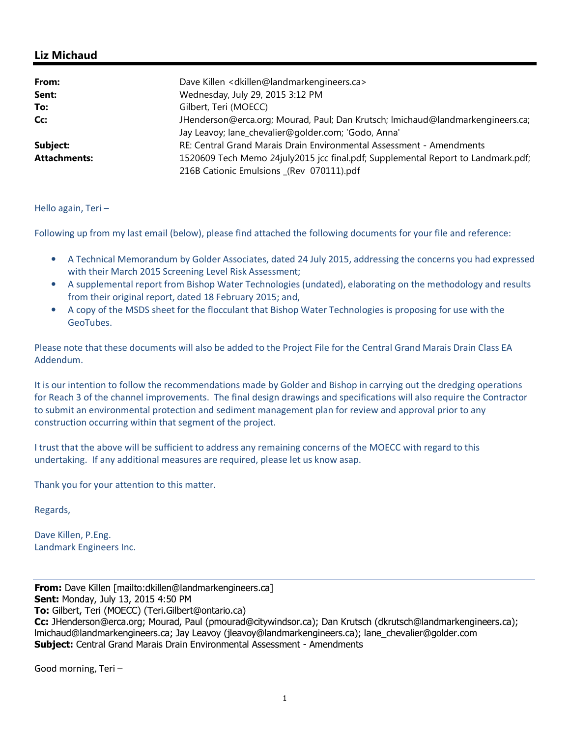| From:               | Dave Killen < dkillen@landmarkengineers.ca>                                        |
|---------------------|------------------------------------------------------------------------------------|
| Sent:               | Wednesday, July 29, 2015 3:12 PM                                                   |
| To:                 | Gilbert, Teri (MOECC)                                                              |
| Cc:                 | JHenderson@erca.org; Mourad, Paul; Dan Krutsch; Imichaud@landmarkengineers.ca;     |
|                     | Jay Leavoy; lane_chevalier@golder.com; 'Godo, Anna'                                |
| Subject:            | RE: Central Grand Marais Drain Environmental Assessment - Amendments               |
| <b>Attachments:</b> | 1520609 Tech Memo 24 july 2015 jcc final.pdf; Supplemental Report to Landmark.pdf; |
|                     | 216B Cationic Emulsions (Rev 070111).pdf                                           |

Hello again, Teri –

Following up from my last email (below), please find attached the following documents for your file and reference:

- A Technical Memorandum by Golder Associates, dated 24 July 2015, addressing the concerns you had expressed with their March 2015 Screening Level Risk Assessment;
- A supplemental report from Bishop Water Technologies (undated), elaborating on the methodology and results from their original report, dated 18 February 2015; and,
- A copy of the MSDS sheet for the flocculant that Bishop Water Technologies is proposing for use with the GeoTubes.

Please note that these documents will also be added to the Project File for the Central Grand Marais Drain Class EA Addendum.

It is our intention to follow the recommendations made by Golder and Bishop in carrying out the dredging operations for Reach 3 of the channel improvements. The final design drawings and specifications will also require the Contractor to submit an environmental protection and sediment management plan for review and approval prior to any construction occurring within that segment of the project.

I trust that the above will be sufficient to address any remaining concerns of the MOECC with regard to this undertaking. If any additional measures are required, please let us know asap.

Thank you for your attention to this matter.

Regards,

Dave Killen, P.Eng. Landmark Engineers Inc.

**From:** Dave Killen [mailto:dkillen@landmarkengineers.ca] **Sent:** Monday, July 13, 2015 4:50 PM **To:** Gilbert, Teri (MOECC) (Teri.Gilbert@ontario.ca) **Cc:** JHenderson@erca.org; Mourad, Paul (pmourad@citywindsor.ca); Dan Krutsch (dkrutsch@landmarkengineers.ca); lmichaud@landmarkengineers.ca; Jay Leavoy (jleavoy@landmarkengineers.ca); lane\_chevalier@golder.com **Subject:** Central Grand Marais Drain Environmental Assessment - Amendments

Good morning, Teri –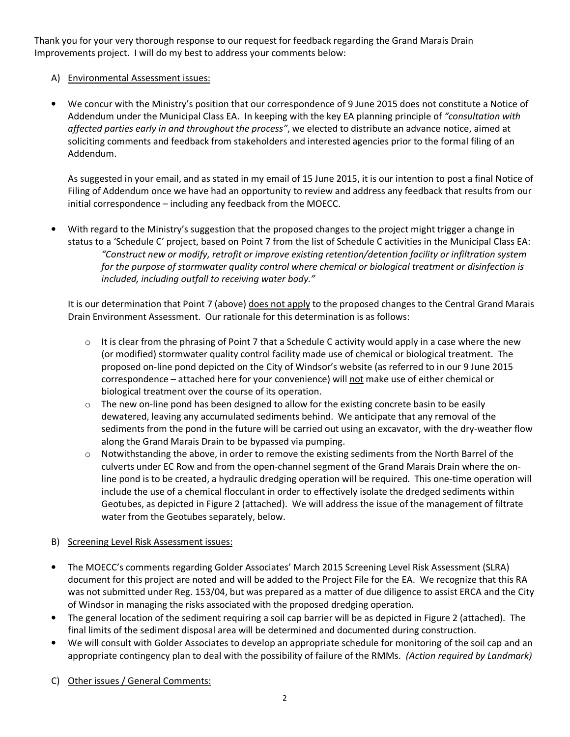Thank you for your very thorough response to our request for feedback regarding the Grand Marais Drain Improvements project. I will do my best to address your comments below:

## A) Environmental Assessment issues:

• We concur with the Ministry's position that our correspondence of 9 June 2015 does not constitute a Notice of Addendum under the Municipal Class EA. In keeping with the key EA planning principle of *"consultation with affected parties early in and throughout the process"*, we elected to distribute an advance notice, aimed at soliciting comments and feedback from stakeholders and interested agencies prior to the formal filing of an Addendum.

As suggested in your email, and as stated in my email of 15 June 2015, it is our intention to post a final Notice of Filing of Addendum once we have had an opportunity to review and address any feedback that results from our initial correspondence – including any feedback from the MOECC.

• With regard to the Ministry's suggestion that the proposed changes to the project might trigger a change in status to a 'Schedule C' project, based on Point 7 from the list of Schedule C activities in the Municipal Class EA: *"Construct new or modify, retrofit or improve existing retention/detention facility or infiltration system for the purpose of stormwater quality control where chemical or biological treatment or disinfection is included, including outfall to receiving water body."* 

It is our determination that Point 7 (above) does not apply to the proposed changes to the Central Grand Marais Drain Environment Assessment. Our rationale for this determination is as follows:

- $\circ$  It is clear from the phrasing of Point 7 that a Schedule C activity would apply in a case where the new (or modified) stormwater quality control facility made use of chemical or biological treatment. The proposed on-line pond depicted on the City of Windsor's website (as referred to in our 9 June 2015 correspondence – attached here for your convenience) will not make use of either chemical or biological treatment over the course of its operation.
- $\circ$  The new on-line pond has been designed to allow for the existing concrete basin to be easily dewatered, leaving any accumulated sediments behind. We anticipate that any removal of the sediments from the pond in the future will be carried out using an excavator, with the dry-weather flow along the Grand Marais Drain to be bypassed via pumping.
- $\circ$  Notwithstanding the above, in order to remove the existing sediments from the North Barrel of the culverts under EC Row and from the open-channel segment of the Grand Marais Drain where the online pond is to be created, a hydraulic dredging operation will be required. This one-time operation will include the use of a chemical flocculant in order to effectively isolate the dredged sediments within Geotubes, as depicted in Figure 2 (attached). We will address the issue of the management of filtrate water from the Geotubes separately, below.

#### B) Screening Level Risk Assessment issues:

- The MOECC's comments regarding Golder Associates' March 2015 Screening Level Risk Assessment (SLRA) document for this project are noted and will be added to the Project File for the EA. We recognize that this RA was not submitted under Reg. 153/04, but was prepared as a matter of due diligence to assist ERCA and the City of Windsor in managing the risks associated with the proposed dredging operation.
- The general location of the sediment requiring a soil cap barrier will be as depicted in Figure 2 (attached). The final limits of the sediment disposal area will be determined and documented during construction.
- We will consult with Golder Associates to develop an appropriate schedule for monitoring of the soil cap and an appropriate contingency plan to deal with the possibility of failure of the RMMs. *(Action required by Landmark)*
- C) Other issues / General Comments: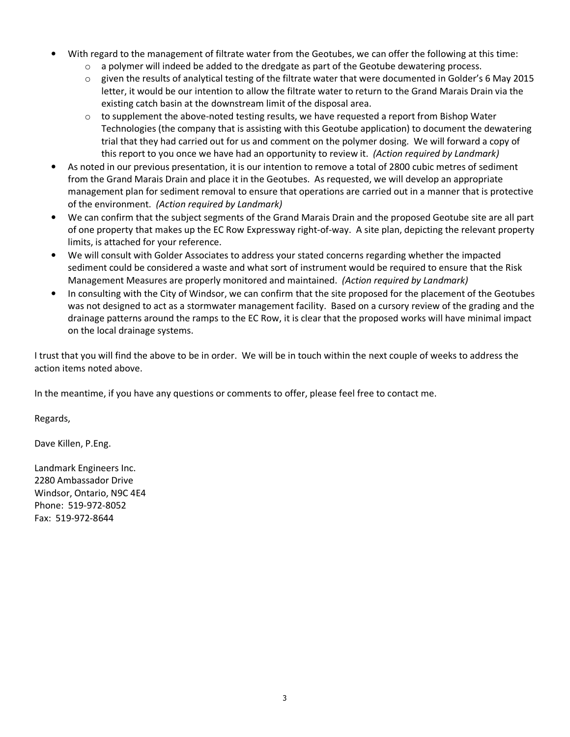- With regard to the management of filtrate water from the Geotubes, we can offer the following at this time:
	- $\circ$  a polymer will indeed be added to the dredgate as part of the Geotube dewatering process.
	- $\circ$  given the results of analytical testing of the filtrate water that were documented in Golder's 6 May 2015 letter, it would be our intention to allow the filtrate water to return to the Grand Marais Drain via the existing catch basin at the downstream limit of the disposal area.
	- $\circ$  to supplement the above-noted testing results, we have requested a report from Bishop Water Technologies (the company that is assisting with this Geotube application) to document the dewatering trial that they had carried out for us and comment on the polymer dosing. We will forward a copy of this report to you once we have had an opportunity to review it. *(Action required by Landmark)*
- As noted in our previous presentation, it is our intention to remove a total of 2800 cubic metres of sediment from the Grand Marais Drain and place it in the Geotubes. As requested, we will develop an appropriate management plan for sediment removal to ensure that operations are carried out in a manner that is protective of the environment. *(Action required by Landmark)*
- We can confirm that the subject segments of the Grand Marais Drain and the proposed Geotube site are all part of one property that makes up the EC Row Expressway right-of-way. A site plan, depicting the relevant property limits, is attached for your reference.
- We will consult with Golder Associates to address your stated concerns regarding whether the impacted sediment could be considered a waste and what sort of instrument would be required to ensure that the Risk Management Measures are properly monitored and maintained. *(Action required by Landmark)*
- In consulting with the City of Windsor, we can confirm that the site proposed for the placement of the Geotubes was not designed to act as a stormwater management facility. Based on a cursory review of the grading and the drainage patterns around the ramps to the EC Row, it is clear that the proposed works will have minimal impact on the local drainage systems.

I trust that you will find the above to be in order. We will be in touch within the next couple of weeks to address the action items noted above.

In the meantime, if you have any questions or comments to offer, please feel free to contact me.

Regards,

Dave Killen, P.Eng.

Landmark Engineers Inc. 2280 Ambassador Drive Windsor, Ontario, N9C 4E4 Phone: 519-972-8052 Fax: 519-972-8644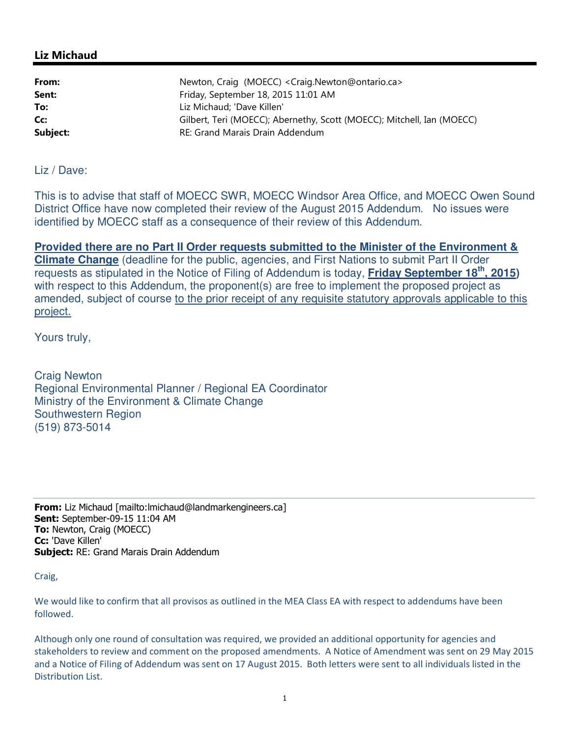| From:<br>Sent: | Newton, Craig (MOECC) <craig.newton@ontario.ca><br/>Friday, September 18, 2015 11:01 AM</craig.newton@ontario.ca> |
|----------------|-------------------------------------------------------------------------------------------------------------------|
| To:            | Liz Michaud; 'Dave Killen'                                                                                        |
| Cc:            | Gilbert, Teri (MOECC); Abernethy, Scott (MOECC); Mitchell, Ian (MOECC)                                            |
| Subject:       | RE: Grand Marais Drain Addendum                                                                                   |

Liz / Dave:

This is to advise that staff of MOECC SWR, MOECC Windsor Area Office, and MOECC Owen Sound District Office have now completed their review of the August 2015 Addendum. No issues were identified by MOECC staff as a consequence of their review of this Addendum.

**Provided there are no Part II Order requests submitted to the Minister of the Environment & Climate Change** (deadline for the public, agencies, and First Nations to submit Part II Order requests as stipulated in the Notice of Filing of Addendum is today, **Friday September 18th, 2015)** with respect to this Addendum, the proponent(s) are free to implement the proposed project as amended, subject of course to the prior receipt of any requisite statutory approvals applicable to this project.

Yours truly,

Craig Newton Regional Environmental Planner / Regional EA Coordinator Ministry of the Environment & Climate Change Southwestern Region (519) 873-5014

**From:** Liz Michaud [mailto:lmichaud@landmarkengineers.ca] **Sent:** September-09-15 11:04 AM **To:** Newton, Craig (MOECC) **Cc:** 'Dave Killen' **Subject:** RE: Grand Marais Drain Addendum

Craig,

We would like to confirm that all provisos as outlined in the MEA Class EA with respect to addendums have been followed.

Although only one round of consultation was required, we provided an additional opportunity for agencies and stakeholders to review and comment on the proposed amendments. A Notice of Amendment was sent on 29 May 2015 and a Notice of Filing of Addendum was sent on 17 August 2015. Both letters were sent to all individuals listed in the Distribution List.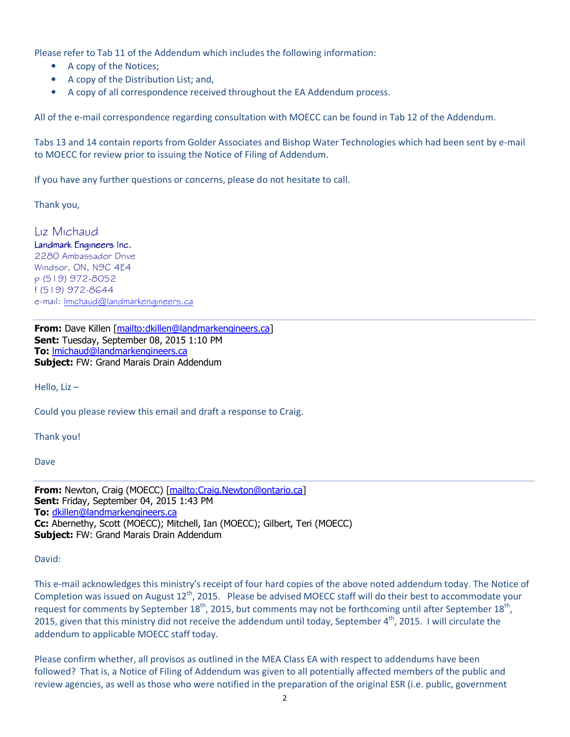Please refer to Tab 11 of the Addendum which includes the following information:

- A copy of the Notices;
- A copy of the Distribution List; and,
- A copy of all correspondence received throughout the EA Addendum process.

All of the e-mail correspondence regarding consultation with MOECC can be found in Tab 12 of the Addendum.

Tabs 13 and 14 contain reports from Golder Associates and Bishop Water Technologies which had been sent by e-mail to MOECC for review prior to issuing the Notice of Filing of Addendum.

If you have any further questions or concerns, please do not hesitate to call.

Thank you,

*Liz Michaud Landmark Engineers Inc. 2280 Ambassador Drive Windsor, ON, N9C 4E4 p (519) 972-8052 f (519) 972-8644 e-mail: lmichaud@landmarkengineers.ca*

**From:** Dave Killen [mailto:dkillen@landmarkengineers.ca] **Sent:** Tuesday, September 08, 2015 1:10 PM **To:** lmichaud@landmarkengineers.ca **Subject:** FW: Grand Marais Drain Addendum

Hello, Liz –

Could you please review this email and draft a response to Craig.

Thank you!

Dave

**From:** Newton, Craig (MOECC) [mailto:Craig.Newton@ontario.ca] **Sent:** Friday, September 04, 2015 1:43 PM **To:** dkillen@landmarkengineers.ca **Cc:** Abernethy, Scott (MOECC); Mitchell, Ian (MOECC); Gilbert, Teri (MOECC) **Subject:** FW: Grand Marais Drain Addendum

David:

This e-mail acknowledges this ministry's receipt of four hard copies of the above noted addendum today. The Notice of Completion was issued on August 12<sup>th</sup>, 2015. Please be advised MOECC staff will do their best to accommodate your request for comments by September 18<sup>th</sup>, 2015, but comments may not be forthcoming until after September 18<sup>th</sup>, 2015, given that this ministry did not receive the addendum until today, September  $4^{th}$ , 2015. I will circulate the addendum to applicable MOECC staff today.

Please confirm whether, all provisos as outlined in the MEA Class EA with respect to addendums have been followed? That is, a Notice of Filing of Addendum was given to all potentially affected members of the public and review agencies, as well as those who were notified in the preparation of the original ESR (i.e. public, government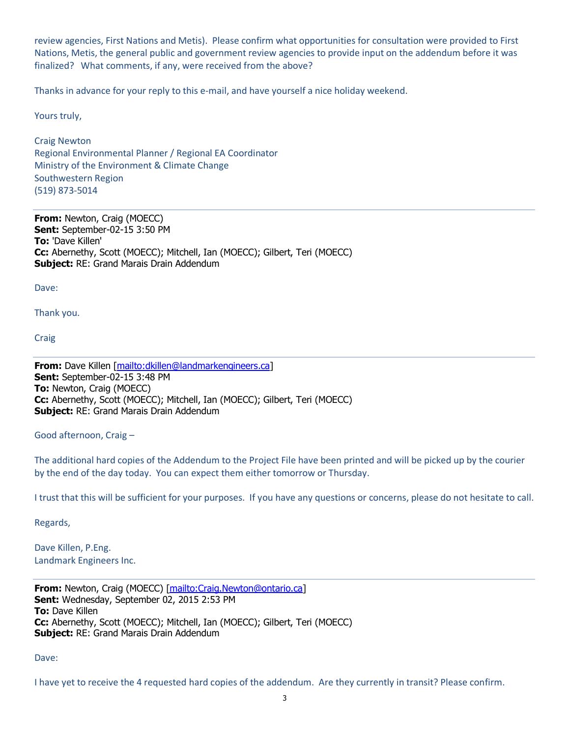review agencies, First Nations and Metis). Please confirm what opportunities for consultation were provided to First Nations, Metis, the general public and government review agencies to provide input on the addendum before it was finalized? What comments, if any, were received from the above?

Thanks in advance for your reply to this e-mail, and have yourself a nice holiday weekend.

Yours truly,

Craig Newton Regional Environmental Planner / Regional EA Coordinator Ministry of the Environment & Climate Change Southwestern Region (519) 873-5014

**From:** Newton, Craig (MOECC) **Sent:** September-02-15 3:50 PM **To:** 'Dave Killen' **Cc:** Abernethy, Scott (MOECC); Mitchell, Ian (MOECC); Gilbert, Teri (MOECC) **Subject:** RE: Grand Marais Drain Addendum

Dave:

Thank you.

Craig

**From:** Dave Killen [mailto:dkillen@landmarkengineers.ca] **Sent:** September-02-15 3:48 PM **To:** Newton, Craig (MOECC) **Cc:** Abernethy, Scott (MOECC); Mitchell, Ian (MOECC); Gilbert, Teri (MOECC) **Subject:** RE: Grand Marais Drain Addendum

Good afternoon, Craig –

The additional hard copies of the Addendum to the Project File have been printed and will be picked up by the courier by the end of the day today. You can expect them either tomorrow or Thursday.

I trust that this will be sufficient for your purposes. If you have any questions or concerns, please do not hesitate to call.

Regards,

Dave Killen, P.Eng. Landmark Engineers Inc.

**From:** Newton, Craig (MOECC) [mailto:Craig.Newton@ontario.ca] **Sent:** Wednesday, September 02, 2015 2:53 PM **To:** Dave Killen **Cc:** Abernethy, Scott (MOECC); Mitchell, Ian (MOECC); Gilbert, Teri (MOECC) **Subject:** RE: Grand Marais Drain Addendum

Dave:

I have yet to receive the 4 requested hard copies of the addendum. Are they currently in transit? Please confirm.